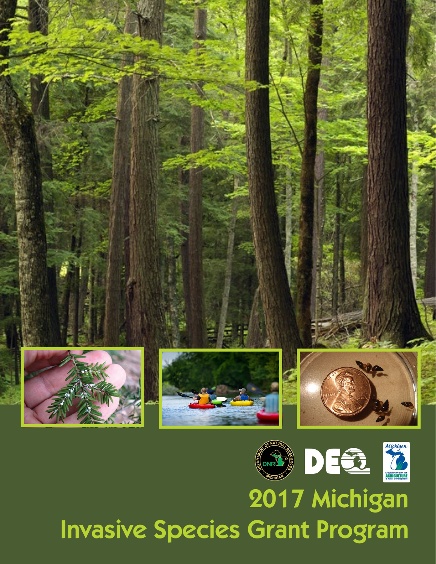

# 2017 Michigan Invasive Species Grant Program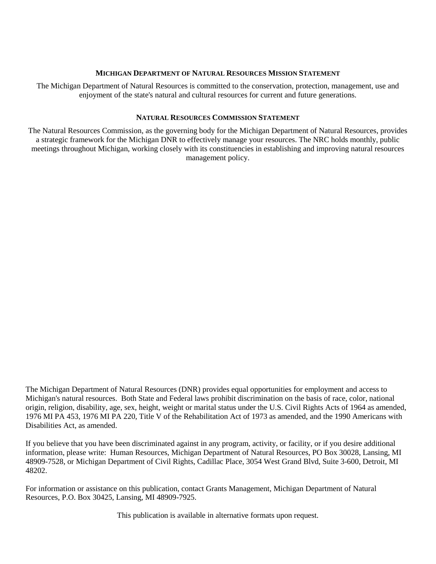#### **MICHIGAN DEPARTMENT OF NATURAL RESOURCES MISSION STATEMENT**

 enjoyment of the state's natural and cultural resources for current and future generations. The Michigan Department of Natural Resources is committed to the conservation, protection, management, use and

## **NATURAL RESOURCES COMMISSION STATEMENT**

 The Natural Resources Commission, as the governing body for the Michigan Department of Natural Resources, provides a strategic framework for the Michigan DNR to effectively manage your resources. The NRC holds monthly, public meetings throughout Michigan, working closely with its constituencies in establishing and improving natural resources management policy.

 origin, religion, disability, age, sex, height, weight or marital status under the U.S. Civil Rights Acts of 1964 as amended, 1976 MI PA 453, 1976 MI PA 220, Title V of the Rehabilitation Act of 1973 as amended, and the 1990 Americans with The Michigan Department of Natural Resources (DNR) provides equal opportunities for employment and access to Michigan's natural resources. Both State and Federal laws prohibit discrimination on the basis of race, color, national Disabilities Act, as amended.

 If you believe that you have been discriminated against in any program, activity, or facility, or if you desire additional information, please write: Human Resources, Michigan Department of Natural Resources, PO Box 30028, Lansing, MI 48909-7528, or Michigan Department of Civil Rights, Cadillac Place, 3054 West Grand Blvd, Suite 3-600, Detroit, MI 48202.

For information or assistance on this publication, contact Grants Management, Michigan Department of Natural Resources, P.O. Box 30425, Lansing, MI 48909-7925.

This publication is available in alternative formats upon request.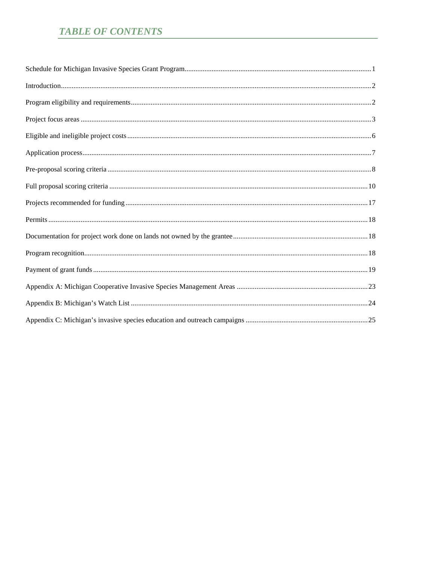# **TABLE OF CONTENTS**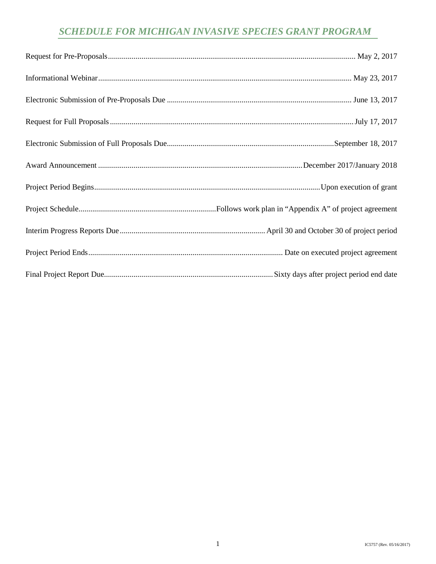# *SCHEDULE FOR MICHIGAN INVASIVE SPECIES GRANT PROGRAM*

<span id="page-3-0"></span>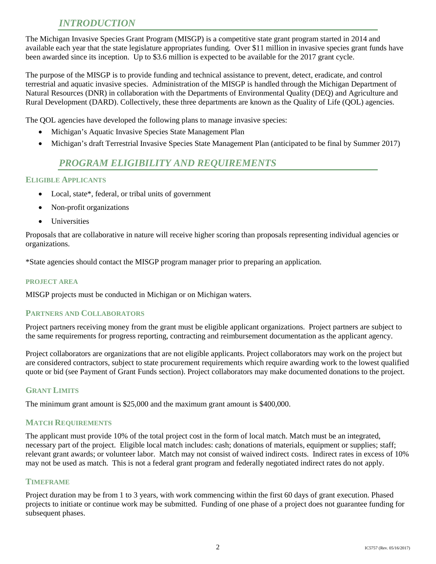# *INTRODUCTION*

<span id="page-4-0"></span> The Michigan Invasive Species Grant Program (MISGP) is a competitive state grant program started in 2014 and available each year that the state legislature appropriates funding. Over \$11 million in invasive species grant funds have been awarded since its inception. Up to \$3.6 million is expected to be available for the 2017 grant cycle.

 The purpose of the MISGP is to provide funding and technical assistance to prevent, detect, eradicate, and control Rural Development (DARD). Collectively, these three departments are known as the Quality of Life (QOL) agencies. terrestrial and aquatic invasive species. Administration of the MISGP is handled through the Michigan Department of Natural Resources (DNR) in collaboration with the Departments of Environmental Quality (DEQ) and Agriculture and

The QOL agencies have developed the following plans to manage invasive species:

- Michigan's Aquatic Invasive Species State Management Plan
- Michigan's draft Terrestrial Invasive Species State Management Plan (anticipated to be final by Summer 2017)

## *PROGRAM ELIGIBILITY AND REQUIREMENTS*

## <span id="page-4-1"></span>**ELIGIBLE APPLICANTS**

- Local, state\*, federal, or tribal units of government
- Non-profit organizations
- Universities

Proposals that are collaborative in nature will receive higher scoring than proposals representing individual agencies or organizations.

\*State agencies should contact the MISGP program manager prior to preparing an application.

#### **PROJECT AREA**

MISGP projects must be conducted in Michigan or on Michigan waters.

## **PARTNERS AND COLLABORATORS**

Project partners receiving money from the grant must be eligible applicant organizations. Project partners are subject to the same requirements for progress reporting, contracting and reimbursement documentation as the applicant agency.

 are considered contractors, subject to state procurement requirements which require awarding work to the lowest qualified Project collaborators are organizations that are not eligible applicants. Project collaborators may work on the project but quote or bid (see Payment of Grant Funds section). Project collaborators may make documented donations to the project.

## **GRANT LIMITS**

The minimum grant amount is \$25,000 and the maximum grant amount is \$400,000.

## **MATCH REQUIREMENTS**

 necessary part of the project. Eligible local match includes: cash; donations of materials, equipment or supplies; staff; may not be used as match. This is not a federal grant program and federally negotiated indirect rates do not apply. The applicant must provide 10% of the total project cost in the form of local match. Match must be an integrated, relevant grant awards; or volunteer labor. Match may not consist of waived indirect costs. Indirect rates in excess of 10%

## **TIMEFRAME**

 Project duration may be from 1 to 3 years, with work commencing within the first 60 days of grant execution. Phased projects to initiate or continue work may be submitted. Funding of one phase of a project does not guarantee funding for subsequent phases.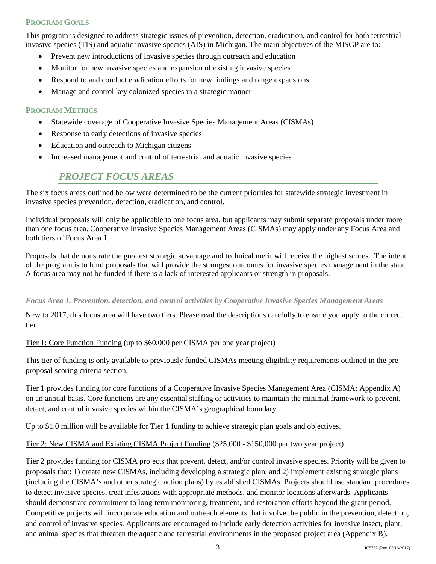## **PROGRAM GOALS**

 invasive species (TIS) and aquatic invasive species (AIS) in Michigan. The main objectives of the MISGP are to: This program is designed to address strategic issues of prevention, detection, eradication, and control for both terrestrial

- Prevent new introductions of invasive species through outreach and education
- Monitor for new invasive species and expansion of existing invasive species
- Respond to and conduct eradication efforts for new findings and range expansions
- Manage and control key colonized species in a strategic manner

## **PROGRAM METRICS**

- Statewide coverage of Cooperative Invasive Species Management Areas (CISMAs)
- Response to early detections of invasive species
- Education and outreach to Michigan citizens
- Increased management and control of terrestrial and aquatic invasive species

# *PROJECT FOCUS AREAS*

<span id="page-5-0"></span> The six focus areas outlined below were determined to be the current priorities for statewide strategic investment in invasive species prevention, detection, eradication, and control.

 both tiers of Focus Area 1. Individual proposals will only be applicable to one focus area, but applicants may submit separate proposals under more than one focus area. Cooperative Invasive Species Management Areas (CISMAs) may apply under any Focus Area and

 Proposals that demonstrate the greatest strategic advantage and technical merit will receive the highest scores. The intent of the program is to fund proposals that will provide the strongest outcomes for invasive species management in the state. A focus area may not be funded if there is a lack of interested applicants or strength in proposals.

## *Focus Area 1. Prevention, detection, and control activities by Cooperative Invasive Species Management Areas*

New to 2017, this focus area will have two tiers. Please read the descriptions carefully to ensure you apply to the correct tier.

## Tier 1: Core Function Funding (up to \$60,000 per CISMA per one year project)

 This tier of funding is only available to previously funded CISMAs meeting eligibility requirements outlined in the preproposal scoring criteria section.

Tier 1 provides funding for core functions of a Cooperative Invasive Species Management Area (CISMA; Appendix A) on an annual basis. Core functions are any essential staffing or activities to maintain the minimal framework to prevent, detect, and control invasive species within the CISMA's geographical boundary.

Up to \$1.0 million will be available for Tier 1 funding to achieve strategic plan goals and objectives.

## Tier 2: New CISMA and Existing CISMA Project Funding (\$25,000 - \$150,000 per two year project)

 and animal species that threaten the aquatic and terrestrial environments in the proposed project area (Appendix B). Tier 2 provides funding for CISMA projects that prevent, detect, and/or control invasive species. Priority will be given to proposals that: 1) create new CISMAs, including developing a strategic plan, and 2) implement existing strategic plans (including the CISMA's and other strategic action plans) by established CISMAs. Projects should use standard procedures to detect invasive species, treat infestations with appropriate methods, and monitor locations afterwards. Applicants should demonstrate commitment to long-term monitoring, treatment, and restoration efforts beyond the grant period. Competitive projects will incorporate education and outreach elements that involve the public in the prevention, detection, and control of invasive species. Applicants are encouraged to include early detection activities for invasive insect, plant,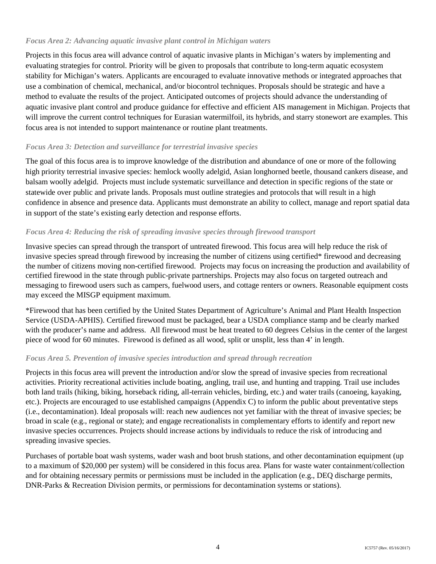## *Focus Area 2: Advancing aquatic invasive plant control in Michigan waters*

 evaluating strategies for control. Priority will be given to proposals that contribute to long-term aquatic ecosystem Projects in this focus area will advance control of aquatic invasive plants in Michigan's waters by implementing and stability for Michigan's waters. Applicants are encouraged to evaluate innovative methods or integrated approaches that use a combination of chemical, mechanical, and/or biocontrol techniques. Proposals should be strategic and have a method to evaluate the results of the project. Anticipated outcomes of projects should advance the understanding of aquatic invasive plant control and produce guidance for effective and efficient AIS management in Michigan. Projects that will improve the current control techniques for Eurasian watermilfoil, its hybrids, and starry stonewort are examples. This focus area is not intended to support maintenance or routine plant treatments.

## *Focus Area 3: Detection and surveillance for terrestrial invasive species*

 The goal of this focus area is to improve knowledge of the distribution and abundance of one or more of the following balsam woolly adelgid. Projects must include systematic surveillance and detection in specific regions of the state or statewide over public and private lands. Proposals must outline strategies and protocols that will result in a high high priority terrestrial invasive species: hemlock woolly adelgid, Asian longhorned beetle, thousand cankers disease, and confidence in absence and presence data. Applicants must demonstrate an ability to collect, manage and report spatial data in support of the state's existing early detection and response efforts.

## *Focus Area 4: Reducing the risk of spreading invasive species through firewood transport*

 Invasive species can spread through the transport of untreated firewood. This focus area will help reduce the risk of invasive species spread through firewood by increasing the number of citizens using certified\* firewood and decreasing the number of citizens moving non-certified firewood. Projects may focus on increasing the production and availability of certified firewood in the state through public-private partnerships. Projects may also focus on targeted outreach and messaging to firewood users such as campers, fuelwood users, and cottage renters or owners. Reasonable equipment costs may exceed the MISGP equipment maximum.

 \*Firewood that has been certified by the United States Department of Agriculture's Animal and Plant Health Inspection Service (USDA-APHIS). Certified firewood must be packaged, bear a USDA compliance stamp and be clearly marked with the producer's name and address. All firewood must be heat treated to 60 degrees Celsius in the center of the largest piece of wood for 60 minutes. Firewood is defined as all wood, split or unsplit, less than 4' in length.

## *Focus Area 5. Prevention of invasive species introduction and spread through recreation*

 activities. Priority recreational activities include boating, angling, trail use, and hunting and trapping. Trail use includes broad in scale (e.g., regional or state); and engage recreationalists in complementary efforts to identify and report new invasive species occurrences. Projects should increase actions by individuals to reduce the risk of introducing and Projects in this focus area will prevent the introduction and/or slow the spread of invasive species from recreational both land trails (hiking, biking, horseback riding, all-terrain vehicles, birding, etc.) and water trails (canoeing, kayaking, etc.). Projects are encouraged to use established campaigns (Appendix C) to inform the public about preventative steps (i.e., decontamination). Ideal proposals will: reach new audiences not yet familiar with the threat of invasive species; be spreading invasive species.

 Purchases of portable boat wash systems, wader wash and boot brush stations, and other decontamination equipment (up to a maximum of \$20,000 per system) will be considered in this focus area. Plans for waste water containment/collection and for obtaining necessary permits or permissions must be included in the application (e.g., DEQ discharge permits, DNR-Parks & Recreation Division permits, or permissions for decontamination systems or stations).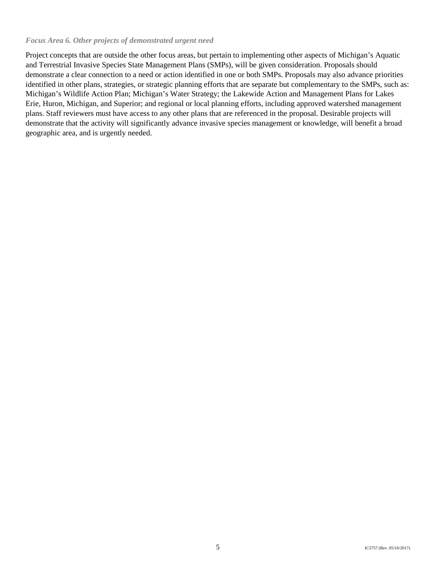## *Focus Area 6. Other projects of demonstrated urgent need*

 demonstrate a clear connection to a need or action identified in one or both SMPs. Proposals may also advance priorities Erie, Huron, Michigan, and Superior; and regional or local planning efforts, including approved watershed management geographic area, and is urgently needed. Project concepts that are outside the other focus areas, but pertain to implementing other aspects of Michigan's Aquatic and Terrestrial Invasive Species State Management Plans (SMPs), will be given consideration. Proposals should identified in other plans, strategies, or strategic planning efforts that are separate but complementary to the SMPs, such as: Michigan's Wildlife Action Plan; Michigan's Water Strategy; the Lakewide Action and Management Plans for Lakes plans. Staff reviewers must have access to any other plans that are referenced in the proposal. Desirable projects will demonstrate that the activity will significantly advance invasive species management or knowledge, will benefit a broad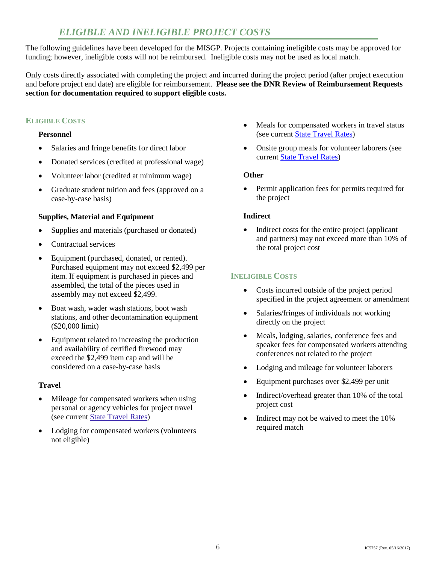# *ELIGIBLE AND INELIGIBLE PROJECT COSTS*

<span id="page-8-0"></span> The following guidelines have been developed for the MISGP. Projects containing ineligible costs may be approved for funding; however, ineligible costs will not be reimbursed. Ineligible costs may not be used as local match.

 Only costs directly associated with completing the project and incurred during the project period (after project execution and before project end date) are eligible for reimbursement. **Please see the DNR Review of Reimbursement Requests section for documentation required to support eligible costs.** 

## **ELIGIBLE COSTS**

## **Personnel**

- • Salaries and fringe benefits for direct labor
- Donated services (credited at professional wage)
- • Volunteer labor (credited at minimum wage)
- Graduate student tuition and fees (approved on a case-by-case basis)

## **Supplies, Material and Equipment**

- Supplies and materials (purchased or donated)
- Contractual services
- Equipment (purchased, donated, or rented). Purchased equipment may not exceed \$2,499 per item. If equipment is purchased in pieces and assembled, the total of the pieces used in assembly may not exceed \$2,499.
- Boat wash, wader wash stations, boot wash stations, and other decontamination equipment (\$20,000 limit)
- Equipment related to increasing the production and availability of certified firewood may exceed the \$2,499 item cap and will be considered on a case-by-case basis

## **Travel**

- Mileage for compensated workers when using personal or agency vehicles for project travel (see current [State Travel Rates\)](http://www.michigan.gov/dtmb/0,5552,7-150-9141_13132---,00.html)
- Lodging for compensated workers (volunteers not eligible)
- Meals for compensated workers in travel status (see current [State Travel Rates\)](http://www.michigan.gov/dtmb/0,5552,7-150-9141_13132---,00.html)
- Onsite group meals for volunteer laborers (see current [State Travel Rates\)](http://www.michigan.gov/dtmb/0,5552,7-150-9141_13132---,00.html)

## **Other**

 • Permit application fees for permits required for the project

## **Indirect**

• Indirect costs for the entire project (applicant and partners) may not exceed more than 10% of the total project cost

## **INELIGIBLE COSTS**

- specified in the project agreement or amendment • Costs incurred outside of the project period
- • Salaries/fringes of individuals not working directly on the project
- Meals, lodging, salaries, conference fees and speaker fees for compensated workers attending conferences not related to the project
- Lodging and mileage for volunteer laborers
- • Equipment purchases over \$2,499 per unit
- Indirect/overhead greater than 10% of the total project cost
- Indirect may not be waived to meet the 10% required match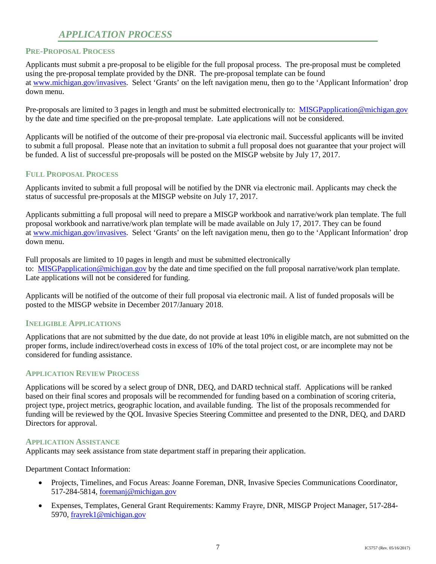# *APPLICATION PROCESS*

## <span id="page-9-0"></span>**PRE-PROPOSAL PROCESS**

 Applicants must submit a pre-proposal to be eligible for the full proposal process. The pre-proposal must be completed using the pre-proposal template provided by the DNR. The pre-proposal template can be found at www.michigan.gov/invasives. Select 'Grants' on the left navigation menu, then go to the 'Applicant Information' drop down menu.

Pre-proposals are limited to 3 pages in length and must be submitted electronically to: MISGPapplication@michigan.gov by the date and time specified on the pre-proposal template. Late applications will not be considered.

 Applicants will be notified of the outcome of their pre-proposal via electronic mail. Successful applicants will be invited to submit a full proposal. Please note that an invitation to submit a full proposal does not guarantee that your project will be funded. A list of successful pre-proposals will be posted on the MISGP website by July 17, 2017.

## **FULL PROPOSAL PROCESS**

 Applicants invited to submit a full proposal will be notified by the DNR via electronic mail. Applicants may check the status of successful pre-proposals at the MISGP website on July 17, 2017.

Applicants submitting a full proposal will need to prepare a MISGP workbook and narrative/work plan template. The full proposal workbook and narrative/work plan template will be made available on July 17, 2017. They can be found at [www.michigan.gov/invasives.](http://www.michigan.gov/invasivespecies) Select 'Grants' on the left navigation menu, then go to the 'Applicant Information' drop down menu.

Full proposals are limited to 10 pages in length and must be submitted electronically to: [MISGPapplication@michigan.gov](mailto:MISGPapplication@michigan.gov) by the date and time specified on the full proposal narrative/work plan template. Late applications will not be considered for funding.

 Applicants will be notified of the outcome of their full proposal via electronic mail. A list of funded proposals will be posted to the MISGP website in December 2017/January 2018.

## **INELIGIBLE APPLICATIONS**

 Applications that are not submitted by the due date, do not provide at least 10% in eligible match, are not submitted on the proper forms, include indirect/overhead costs in excess of 10% of the total project cost, or are incomplete may not be considered for funding assistance.

## **APPLICATION REVIEW PROCESS**

 Applications will be scored by a select group of DNR, DEQ, and DARD technical staff. Applications will be ranked based on their final scores and proposals will be recommended for funding based on a combination of scoring criteria, project type, project metrics, geographic location, and available funding. The list of the proposals recommended for funding will be reviewed by the QOL Invasive Species Steering Committee and presented to the DNR, DEQ, and DARD Directors for approval.

## **APPLICATION ASSISTANCE**

Applicants may seek assistance from state department staff in preparing their application.

Department Contact Information:

- • Projects, Timelines, and Focus Areas: Joanne Foreman, DNR, Invasive Species Communications Coordinator, 517-284-5814, [foremanj@michigan.gov](mailto:foremanj@michigan.gov)
- • Expenses, Templates, General Grant Requirements: Kammy Frayre, DNR, MISGP Project Manager, 517-284 5970, [frayrek1@michigan.gov](mailto:kosloskic3@michigan.gov)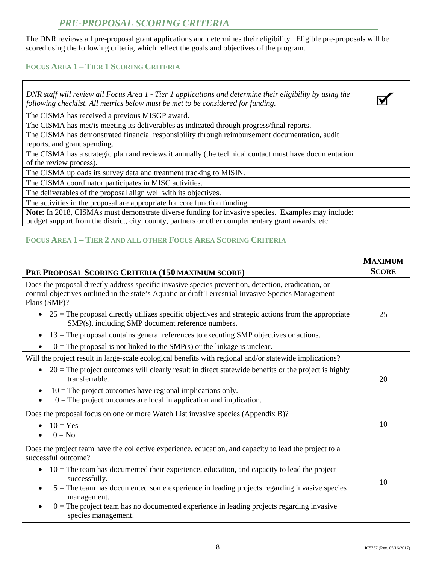# *PRE-PROPOSAL SCORING CRITERIA*

<span id="page-10-0"></span> The DNR reviews all pre-proposal grant applications and determines their eligibility. Eligible pre-proposals will be scored using the following criteria, which reflect the goals and objectives of the program.

## **FOCUS AREA 1 – TIER 1 SCORING CRITERIA**

| DNR staff will review all Focus Area 1 - Tier 1 applications and determine their eligibility by using the<br>following checklist. All metrics below must be met to be considered for funding.            |  |
|----------------------------------------------------------------------------------------------------------------------------------------------------------------------------------------------------------|--|
| The CISMA has received a previous MISGP award.                                                                                                                                                           |  |
| The CISMA has met/is meeting its deliverables as indicated through progress/final reports.                                                                                                               |  |
| The CISMA has demonstrated financial responsibility through reimbursement documentation, audit<br>reports, and grant spending.                                                                           |  |
| The CISMA has a strategic plan and reviews it annually (the technical contact must have documentation<br>of the review process).                                                                         |  |
| The CISMA uploads its survey data and treatment tracking to MISIN.                                                                                                                                       |  |
| The CISMA coordinator participates in MISC activities.                                                                                                                                                   |  |
| The deliverables of the proposal align well with its objectives.                                                                                                                                         |  |
| The activities in the proposal are appropriate for core function funding.                                                                                                                                |  |
| Note: In 2018, CISMAs must demonstrate diverse funding for invasive species. Examples may include:<br>budget support from the district, city, county, partners or other complementary grant awards, etc. |  |

## **FOCUS AREA 1 – TIER 2 AND ALL OTHER FOCUS AREA SCORING CRITERIA**

| PRE PROPOSAL SCORING CRITERIA (150 MAXIMUM SCORE)                                                                                                                                                                          | <b>MAXIMUM</b><br><b>SCORE</b> |
|----------------------------------------------------------------------------------------------------------------------------------------------------------------------------------------------------------------------------|--------------------------------|
| Does the proposal directly address specific invasive species prevention, detection, eradication, or<br>control objectives outlined in the state's Aquatic or draft Terrestrial Invasive Species Management<br>Plans (SMP)? |                                |
| $25$ = The proposal directly utilizes specific objectives and strategic actions from the appropriate<br>SMP(s), including SMP document reference numbers.                                                                  | 25                             |
| $13$ = The proposal contains general references to executing SMP objectives or actions.<br>$\bullet$                                                                                                                       |                                |
| $0 =$ The proposal is not linked to the SMP(s) or the linkage is unclear.                                                                                                                                                  |                                |
| Will the project result in large-scale ecological benefits with regional and/or statewide implications?                                                                                                                    |                                |
| $20 =$ The project outcomes will clearly result in direct statewide benefits or the project is highly<br>$\bullet$<br>transferrable.                                                                                       | 20                             |
| $10$ = The project outcomes have regional implications only.<br>$\bullet$<br>$0 =$ The project outcomes are local in application and implication.                                                                          |                                |
| Does the proposal focus on one or more Watch List invasive species (Appendix B)?                                                                                                                                           |                                |
| $10 = Yes$                                                                                                                                                                                                                 | 10                             |
| $0 = No$                                                                                                                                                                                                                   |                                |
| Does the project team have the collective experience, education, and capacity to lead the project to a<br>successful outcome?                                                                                              |                                |
| $10 =$ The team has documented their experience, education, and capacity to lead the project<br>$\bullet$<br>successfully.                                                                                                 | 10                             |
| $5 =$ The team has documented some experience in leading projects regarding invasive species<br>$\bullet$<br>management.                                                                                                   |                                |
| $0 =$ The project team has no documented experience in leading projects regarding invasive<br>species management.                                                                                                          |                                |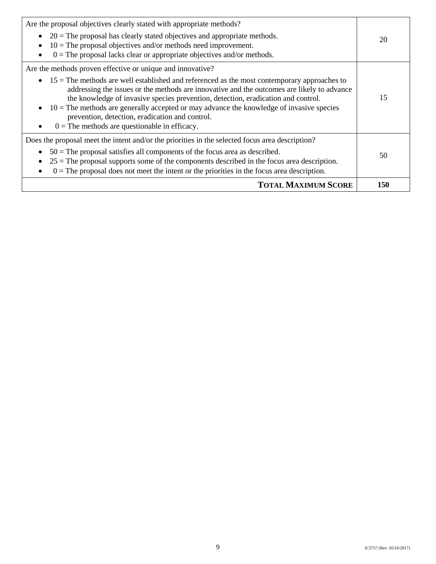<span id="page-11-0"></span>

| Are the proposal objectives clearly stated with appropriate methods?<br>• $20 =$ The proposal has clearly stated objectives and appropriate methods.<br>$10$ = The proposal objectives and/or methods need improvement.<br>$\bullet$<br>$0 =$ The proposal lacks clear or appropriate objectives and/or methods.<br>$\bullet$                                                                                                                                                                                                                                                | 20  |
|------------------------------------------------------------------------------------------------------------------------------------------------------------------------------------------------------------------------------------------------------------------------------------------------------------------------------------------------------------------------------------------------------------------------------------------------------------------------------------------------------------------------------------------------------------------------------|-----|
| Are the methods proven effective or unique and innovative?<br>$15$ = The methods are well established and referenced as the most contemporary approaches to<br>$\bullet$<br>addressing the issues or the methods are innovative and the outcomes are likely to advance<br>the knowledge of invasive species prevention, detection, eradication and control.<br>$10 =$ The methods are generally accepted or may advance the knowledge of invasive species<br>$\bullet$<br>prevention, detection, eradication and control.<br>$0 =$ The methods are questionable in efficacy. | 15  |
| Does the proposal meet the intent and/or the priorities in the selected focus area description?<br>$50$ = The proposal satisfies all components of the focus area as described.<br>$25$ = The proposal supports some of the components described in the focus area description.<br>$\bullet$<br>$0 =$ The proposal does not meet the intent or the priorities in the focus area description.<br>$\bullet$                                                                                                                                                                    | 50  |
| <b>TOTAL MAXIMUM SCORE</b>                                                                                                                                                                                                                                                                                                                                                                                                                                                                                                                                                   | 150 |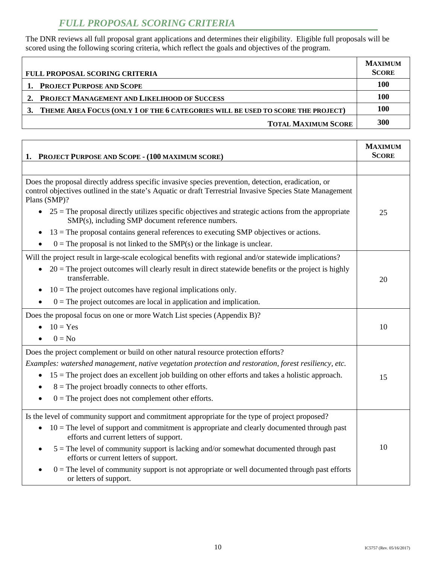# *FULL PROPOSAL SCORING CRITERIA*

 The DNR reviews all full proposal grant applications and determines their eligibility. Eligible full proposals will be scored using the following scoring criteria, which reflect the goals and objectives of the program.

| <b>FULL PROPOSAL SCORING CRITERIA</b>                                              | <b>MAXIMUM</b><br><b>SCORE</b> |
|------------------------------------------------------------------------------------|--------------------------------|
| 1. PROJECT PURPOSE AND SCOPE                                                       | 100                            |
| 2. PROJECT MANAGEMENT AND LIKELIHOOD OF SUCCESS                                    | 100                            |
| 3. THEME AREA FOCUS (ONLY 1 OF THE 6 CATEGORIES WILL BE USED TO SCORE THE PROJECT) | 100                            |
| <b>TOTAL MAXIMUM SCORE</b>                                                         | 300                            |

| 1. PROJECT PURPOSE AND SCOPE - (100 MAXIMUM SCORE)                                                                                                                                                                               | <b>MAXIMUM</b><br><b>SCORE</b> |
|----------------------------------------------------------------------------------------------------------------------------------------------------------------------------------------------------------------------------------|--------------------------------|
|                                                                                                                                                                                                                                  |                                |
| Does the proposal directly address specific invasive species prevention, detection, eradication, or<br>control objectives outlined in the state's Aquatic or draft Terrestrial Invasive Species State Management<br>Plans (SMP)? |                                |
| $25$ = The proposal directly utilizes specific objectives and strategic actions from the appropriate<br>SMP(s), including SMP document reference numbers.                                                                        | 25                             |
| $13$ = The proposal contains general references to executing SMP objectives or actions.                                                                                                                                          |                                |
| $0 =$ The proposal is not linked to the SMP(s) or the linkage is unclear.                                                                                                                                                        |                                |
| Will the project result in large-scale ecological benefits with regional and/or statewide implications?                                                                                                                          |                                |
| $20$ = The project outcomes will clearly result in direct statewide benefits or the project is highly<br>transferrable.                                                                                                          | 20                             |
| $10$ = The project outcomes have regional implications only.<br>٠                                                                                                                                                                |                                |
| $0 =$ The project outcomes are local in application and implication.                                                                                                                                                             |                                |
| Does the proposal focus on one or more Watch List species (Appendix B)?                                                                                                                                                          |                                |
| $10 = Yes$                                                                                                                                                                                                                       | 10                             |
| $0 = No$                                                                                                                                                                                                                         |                                |
| Does the project complement or build on other natural resource protection efforts?                                                                                                                                               |                                |
| Examples: watershed management, native vegetation protection and restoration, forest resiliency, etc.                                                                                                                            |                                |
| $15$ = The project does an excellent job building on other efforts and takes a holistic approach.<br>$\bullet$                                                                                                                   | 15                             |
| $8 =$ The project broadly connects to other efforts.                                                                                                                                                                             |                                |
| $0 =$ The project does not complement other efforts.                                                                                                                                                                             |                                |
| Is the level of community support and commitment appropriate for the type of project proposed?                                                                                                                                   |                                |
| $10$ = The level of support and commitment is appropriate and clearly documented through past<br>$\bullet$<br>efforts and current letters of support.                                                                            |                                |
| $5 =$ The level of community support is lacking and/or somewhat documented through past<br>efforts or current letters of support.                                                                                                | 10                             |
| $0 =$ The level of community support is not appropriate or well documented through past efforts<br>or letters of support.                                                                                                        |                                |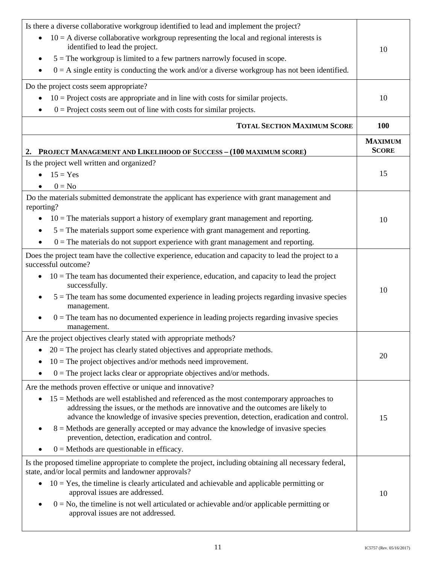| Is there a diverse collaborative workgroup identified to lead and implement the project?                                                                                                                                                                                      |                                |
|-------------------------------------------------------------------------------------------------------------------------------------------------------------------------------------------------------------------------------------------------------------------------------|--------------------------------|
| $10 = A$ diverse collaborative workgroup representing the local and regional interests is                                                                                                                                                                                     |                                |
| identified to lead the project.                                                                                                                                                                                                                                               | 10                             |
| $5 =$ The workgroup is limited to a few partners narrowly focused in scope.<br>$\bullet$                                                                                                                                                                                      |                                |
| $0 = A$ single entity is conducting the work and/or a diverse workgroup has not been identified.                                                                                                                                                                              |                                |
| Do the project costs seem appropriate?                                                                                                                                                                                                                                        |                                |
| $10$ = Project costs are appropriate and in line with costs for similar projects.<br>$\bullet$                                                                                                                                                                                | 10                             |
| $0 =$ Project costs seem out of line with costs for similar projects.                                                                                                                                                                                                         |                                |
| <b>TOTAL SECTION MAXIMUM SCORE</b>                                                                                                                                                                                                                                            | 100                            |
| PROJECT MANAGEMENT AND LIKELIHOOD OF SUCCESS - (100 MAXIMUM SCORE)<br>2.                                                                                                                                                                                                      | <b>MAXIMUM</b><br><b>SCORE</b> |
| Is the project well written and organized?                                                                                                                                                                                                                                    |                                |
| $15 = Yes$                                                                                                                                                                                                                                                                    | 15                             |
| $0 = No$                                                                                                                                                                                                                                                                      |                                |
| Do the materials submitted demonstrate the applicant has experience with grant management and<br>reporting?                                                                                                                                                                   |                                |
| $10$ = The materials support a history of exemplary grant management and reporting.<br>٠                                                                                                                                                                                      | 10                             |
| $5 =$ The materials support some experience with grant management and reporting.                                                                                                                                                                                              |                                |
| $0 =$ The materials do not support experience with grant management and reporting.                                                                                                                                                                                            |                                |
| Does the project team have the collective experience, education and capacity to lead the project to a<br>successful outcome?                                                                                                                                                  |                                |
| $10$ = The team has documented their experience, education, and capacity to lead the project<br>successfully.                                                                                                                                                                 |                                |
| $5 =$ The team has some documented experience in leading projects regarding invasive species<br>management.                                                                                                                                                                   | 10                             |
| $0 =$ The team has no documented experience in leading projects regarding invasive species<br>management.                                                                                                                                                                     |                                |
| Are the project objectives clearly stated with appropriate methods?                                                                                                                                                                                                           |                                |
| $20$ = The project has clearly stated objectives and appropriate methods.<br>$\bullet$                                                                                                                                                                                        | 20                             |
| $10$ = The project objectives and/or methods need improvement.                                                                                                                                                                                                                |                                |
| $0 =$ The project lacks clear or appropriate objectives and/or methods.                                                                                                                                                                                                       |                                |
| Are the methods proven effective or unique and innovative?                                                                                                                                                                                                                    |                                |
| $15$ = Methods are well established and referenced as the most contemporary approaches to<br>addressing the issues, or the methods are innovative and the outcomes are likely to<br>advance the knowledge of invasive species prevention, detection, eradication and control. | 15                             |
| 8 = Methods are generally accepted or may advance the knowledge of invasive species<br>prevention, detection, eradication and control.                                                                                                                                        |                                |
| $0 =$ Methods are questionable in efficacy.                                                                                                                                                                                                                                   |                                |
| Is the proposed timeline appropriate to complete the project, including obtaining all necessary federal,<br>state, and/or local permits and landowner approvals?                                                                                                              |                                |
| $10 = Yes$ , the timeline is clearly articulated and achievable and applicable permitting or<br>approval issues are addressed.                                                                                                                                                | 10                             |
| $0 = No$ , the timeline is not well articulated or achievable and/or applicable permitting or<br>approval issues are not addressed.                                                                                                                                           |                                |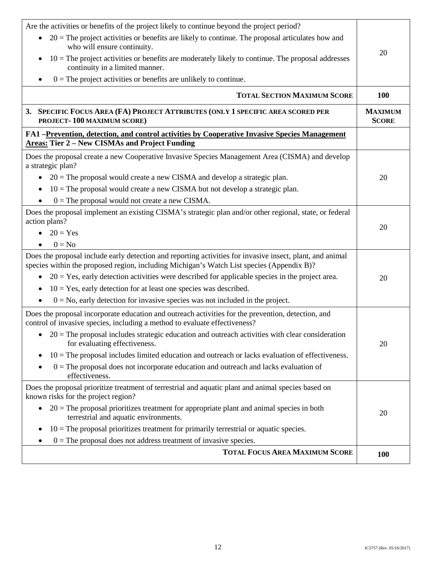| Are the activities or benefits of the project likely to continue beyond the project period?<br>$20$ = The project activities or benefits are likely to continue. The proposal articulates how and<br>$\bullet$<br>who will ensure continuity.<br>$10$ = The project activities or benefits are moderately likely to continue. The proposal addresses<br>$\bullet$<br>continuity in a limited manner.<br>$0$ = The project activities or benefits are unlikely to continue.                                                                           | 20                             |
|------------------------------------------------------------------------------------------------------------------------------------------------------------------------------------------------------------------------------------------------------------------------------------------------------------------------------------------------------------------------------------------------------------------------------------------------------------------------------------------------------------------------------------------------------|--------------------------------|
| <b>TOTAL SECTION MAXIMUM SCORE</b>                                                                                                                                                                                                                                                                                                                                                                                                                                                                                                                   | <b>100</b>                     |
| 3. SPECIFIC FOCUS AREA (FA) PROJECT ATTRIBUTES (ONLY 1 SPECIFIC AREA SCORED PER<br>PROJECT-100 MAXIMUM SCORE)                                                                                                                                                                                                                                                                                                                                                                                                                                        | <b>MAXIMUM</b><br><b>SCORE</b> |
| FA1 –Prevention, detection, and control activities by Cooperative Invasive Species Management<br><b>Areas: Tier 2 – New CISMAs and Project Funding</b>                                                                                                                                                                                                                                                                                                                                                                                               |                                |
| Does the proposal create a new Cooperative Invasive Species Management Area (CISMA) and develop<br>a strategic plan?<br>$20$ = The proposal would create a new CISMA and develop a strategic plan.<br>$10$ = The proposal would create a new CISMA but not develop a strategic plan.<br>$0 =$ The proposal would not create a new CISMA.<br>$\bullet$                                                                                                                                                                                                | 20                             |
| Does the proposal implement an existing CISMA's strategic plan and/or other regional, state, or federal<br>action plans?<br>$20 = Yes$<br>$0 = No$                                                                                                                                                                                                                                                                                                                                                                                                   | 20                             |
| Does the proposal include early detection and reporting activities for invasive insect, plant, and animal<br>species within the proposed region, including Michigan's Watch List species (Appendix B)?<br>$20 = Yes$ , early detection activities were described for applicable species in the project area.<br>$10 = Yes$ , early detection for at least one species was described.<br>$0 = No$ , early detection for invasive species was not included in the project.                                                                             | 20                             |
| Does the proposal incorporate education and outreach activities for the prevention, detection, and<br>control of invasive species, including a method to evaluate effectiveness?<br>$\bullet$ 20 = The proposal includes strategic education and outreach activities with clear consideration<br>for evaluating effectiveness.<br>$10 =$ The proposal includes limited education and outreach or lacks evaluation of effectiveness.<br>٠<br>$0 =$ The proposal does not incorporate education and outreach and lacks evaluation of<br>effectiveness. | 20                             |
| Does the proposal prioritize treatment of terrestrial and aquatic plant and animal species based on<br>known risks for the project region?<br>$20 =$ The proposal prioritizes treatment for appropriate plant and animal species in both<br>terrestrial and aquatic environments.<br>$10$ = The proposal prioritizes treatment for primarily terrestrial or aquatic species.<br>٠<br>$0 =$ The proposal does not address treatment of invasive species.                                                                                              | 20                             |
| <b>TOTAL FOCUS AREA MAXIMUM SCORE</b>                                                                                                                                                                                                                                                                                                                                                                                                                                                                                                                | <b>100</b>                     |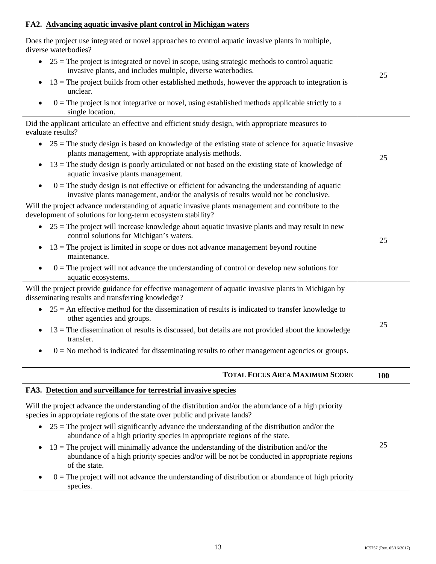| FA2. Advancing aquatic invasive plant control in Michigan waters                                                                                                                                                                                                                                                                                                                                                                                                                                                                                                                                                                                                                                         |            |
|----------------------------------------------------------------------------------------------------------------------------------------------------------------------------------------------------------------------------------------------------------------------------------------------------------------------------------------------------------------------------------------------------------------------------------------------------------------------------------------------------------------------------------------------------------------------------------------------------------------------------------------------------------------------------------------------------------|------------|
| Does the project use integrated or novel approaches to control aquatic invasive plants in multiple,<br>diverse waterbodies?<br>$25$ = The project is integrated or novel in scope, using strategic methods to control aquatic<br>$\bullet$<br>invasive plants, and includes multiple, diverse waterbodies.<br>$13$ = The project builds from other established methods, however the approach to integration is<br>unclear.<br>$0 =$ The project is not integrative or novel, using established methods applicable strictly to a<br>single location.                                                                                                                                                      | 25         |
| Did the applicant articulate an effective and efficient study design, with appropriate measures to<br>evaluate results?<br>$\bullet$ 25 = The study design is based on knowledge of the existing state of science for aquatic invasive<br>plants management, with appropriate analysis methods.<br>$13$ = The study design is poorly articulated or not based on the existing state of knowledge of<br>aquatic invasive plants management.<br>$0 =$ The study design is not effective or efficient for advancing the understanding of aquatic<br>$\bullet$<br>invasive plants management, and/or the analysis of results would not be conclusive.                                                        | 25         |
| Will the project advance understanding of aquatic invasive plants management and contribute to the<br>development of solutions for long-term ecosystem stability?<br>$25$ = The project will increase knowledge about aquatic invasive plants and may result in new<br>control solutions for Michigan's waters.<br>$13$ = The project is limited in scope or does not advance management beyond routine<br>٠<br>maintenance.<br>$0 =$ The project will not advance the understanding of control or develop new solutions for<br>aquatic ecosystems.<br>Will the project provide guidance for effective management of aquatic invasive plants in Michigan by                                              | 25         |
| disseminating results and transferring knowledge?<br>$25$ = An effective method for the dissemination of results is indicated to transfer knowledge to<br>other agencies and groups.<br>$13$ = The dissemination of results is discussed, but details are not provided about the knowledge<br>$\bullet$<br>transfer.<br>$0 = No$ method is indicated for disseminating results to other management agencies or groups.                                                                                                                                                                                                                                                                                   | 25         |
| <b>TOTAL FOCUS AREA MAXIMUM SCORE</b>                                                                                                                                                                                                                                                                                                                                                                                                                                                                                                                                                                                                                                                                    | <b>100</b> |
| FA3. Detection and surveillance for terrestrial invasive species                                                                                                                                                                                                                                                                                                                                                                                                                                                                                                                                                                                                                                         |            |
| Will the project advance the understanding of the distribution and/or the abundance of a high priority<br>species in appropriate regions of the state over public and private lands?<br>$25$ = The project will significantly advance the understanding of the distribution and/or the<br>abundance of a high priority species in appropriate regions of the state.<br>$13$ = The project will minimally advance the understanding of the distribution and/or the<br>٠<br>abundance of a high priority species and/or will be not be conducted in appropriate regions<br>of the state.<br>$0 =$ The project will not advance the understanding of distribution or abundance of high priority<br>species. | 25         |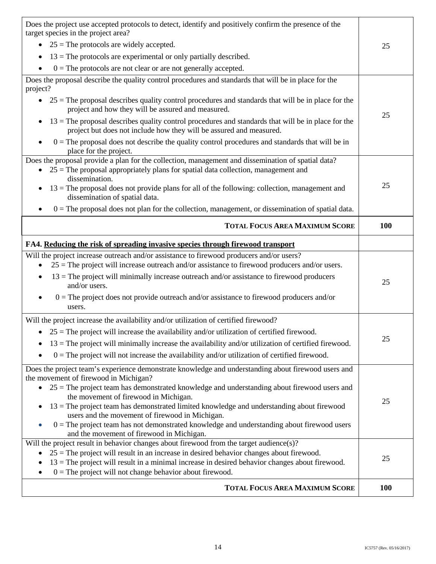| Does the project use accepted protocols to detect, identify and positively confirm the presence of the<br>target species in the project area?                                                               |     |
|-------------------------------------------------------------------------------------------------------------------------------------------------------------------------------------------------------------|-----|
| $25$ = The protocols are widely accepted.                                                                                                                                                                   | 25  |
| $13$ = The protocols are experimental or only partially described.                                                                                                                                          |     |
| $0 =$ The protocols are not clear or are not generally accepted.                                                                                                                                            |     |
| Does the proposal describe the quality control procedures and standards that will be in place for the<br>project?                                                                                           |     |
| $25$ = The proposal describes quality control procedures and standards that will be in place for the<br>project and how they will be assured and measured.                                                  |     |
| $13$ = The proposal describes quality control procedures and standards that will be in place for the<br>$\bullet$<br>project but does not include how they will be assured and measured.                    | 25  |
| $0 =$ The proposal does not describe the quality control procedures and standards that will be in<br>place for the project.                                                                                 |     |
| Does the proposal provide a plan for the collection, management and dissemination of spatial data?<br>$25$ = The proposal appropriately plans for spatial data collection, management and<br>dissemination. |     |
| $13$ = The proposal does not provide plans for all of the following: collection, management and<br>dissemination of spatial data.                                                                           | 25  |
| $0 =$ The proposal does not plan for the collection, management, or dissemination of spatial data.                                                                                                          |     |
| <b>TOTAL FOCUS AREA MAXIMUM SCORE</b>                                                                                                                                                                       | 100 |
| FA4. Reducing the risk of spreading invasive species through firewood transport                                                                                                                             |     |
| Will the project increase outreach and/or assistance to firewood producers and/or users?<br>$25$ = The project will increase outreach and/or assistance to firewood producers and/or users.                 |     |
| $13$ = The project will minimally increase outreach and/or assistance to firewood producers<br>and/or users.                                                                                                | 25  |
| $0 =$ The project does not provide outreach and/or assistance to firewood producers and/or<br>users.                                                                                                        |     |
| Will the project increase the availability and/or utilization of certified firewood?                                                                                                                        |     |
| • $25$ = The project will increase the availability and/or utilization of certified firewood.                                                                                                               |     |
| $13$ = The project will minimally increase the availability and/or utilization of certified firewood.                                                                                                       | 25  |
| $0 =$ The project will not increase the availability and/or utilization of certified firewood.                                                                                                              |     |
| Does the project team's experience demonstrate knowledge and understanding about firewood users and                                                                                                         |     |
| the movement of firewood in Michigan?<br>$25$ = The project team has demonstrated knowledge and understanding about firewood users and<br>$\bullet$                                                         |     |
| the movement of firewood in Michigan.                                                                                                                                                                       |     |
| $13$ = The project team has demonstrated limited knowledge and understanding about firewood<br>$\bullet$                                                                                                    | 25  |
| users and the movement of firewood in Michigan.                                                                                                                                                             |     |
| $0 =$ The project team has not demonstrated knowledge and understanding about firewood users<br>and the movement of firewood in Michigan.                                                                   |     |
| Will the project result in behavior changes about firewood from the target audience(s)?                                                                                                                     |     |
| $25$ = The project will result in an increase in desired behavior changes about firewood.                                                                                                                   |     |
|                                                                                                                                                                                                             | 25  |
| $13$ = The project will result in a minimal increase in desired behavior changes about firewood.<br>$0 =$ The project will not change behavior about firewood.                                              |     |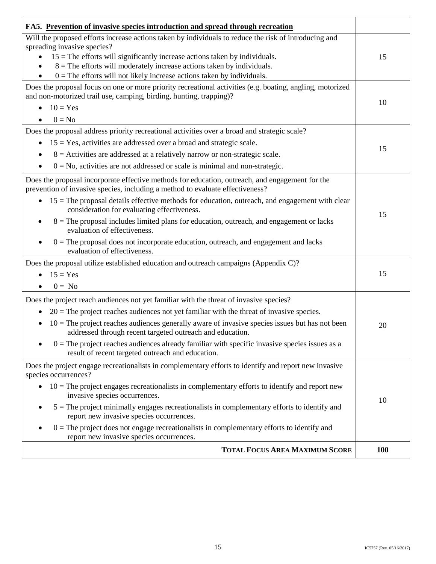| FA5. Prevention of invasive species introduction and spread through recreation                                                                                                                                                                                                                                                                                                                                                                                                                                                                                                             |     |
|--------------------------------------------------------------------------------------------------------------------------------------------------------------------------------------------------------------------------------------------------------------------------------------------------------------------------------------------------------------------------------------------------------------------------------------------------------------------------------------------------------------------------------------------------------------------------------------------|-----|
| Will the proposed efforts increase actions taken by individuals to reduce the risk of introducing and<br>spreading invasive species?<br>$15$ = The efforts will significantly increase actions taken by individuals.<br>$8 =$ The efforts will moderately increase actions taken by individuals.<br>$0 =$ The efforts will not likely increase actions taken by individuals.                                                                                                                                                                                                               | 15  |
| Does the proposal focus on one or more priority recreational activities (e.g. boating, angling, motorized<br>and non-motorized trail use, camping, birding, hunting, trapping)?<br>$10 = Yes$<br>$\bullet$<br>$0 = No$                                                                                                                                                                                                                                                                                                                                                                     | 10  |
| Does the proposal address priority recreational activities over a broad and strategic scale?<br>$15 = Yes$ , activities are addressed over a broad and strategic scale.<br>$\bullet$<br>$8$ = Activities are addressed at a relatively narrow or non-strategic scale.<br>$0 = No$ , activities are not addressed or scale is minimal and non-strategic.                                                                                                                                                                                                                                    | 15  |
| Does the proposal incorporate effective methods for education, outreach, and engagement for the<br>prevention of invasive species, including a method to evaluate effectiveness?<br>$15$ = The proposal details effective methods for education, outreach, and engagement with clear<br>consideration for evaluating effectiveness.<br>$8 =$ The proposal includes limited plans for education, outreach, and engagement or lacks<br>evaluation of effectiveness.<br>$0 =$ The proposal does not incorporate education, outreach, and engagement and lacks<br>evaluation of effectiveness. | 15  |
| Does the proposal utilize established education and outreach campaigns (Appendix C)?<br>$15 = Yes$<br>$0 = No$                                                                                                                                                                                                                                                                                                                                                                                                                                                                             | 15  |
| Does the project reach audiences not yet familiar with the threat of invasive species?<br>$20 =$ The project reaches audiences not yet familiar with the threat of invasive species.<br>$\bullet$<br>$10 =$ The project reaches audiences generally aware of invasive species issues but has not been<br>addressed through recent targeted outreach and education.<br>$0 =$ The project reaches audiences already familiar with specific invasive species issues as a<br>result of recent targeted outreach and education.                                                                 | 20  |
| Does the project engage recreationalists in complementary efforts to identify and report new invasive<br>species occurrences?<br>$10 =$ The project engages recreationalists in complementary efforts to identify and report new<br>$\bullet$<br>invasive species occurrences.<br>$5 =$ The project minimally engages recreationalists in complementary efforts to identify and<br>report new invasive species occurrences.<br>$0 =$ The project does not engage recreationalists in complementary efforts to identify and<br>report new invasive species occurrences.                     | 10  |
| <b>TOTAL FOCUS AREA MAXIMUM SCORE</b>                                                                                                                                                                                                                                                                                                                                                                                                                                                                                                                                                      | 100 |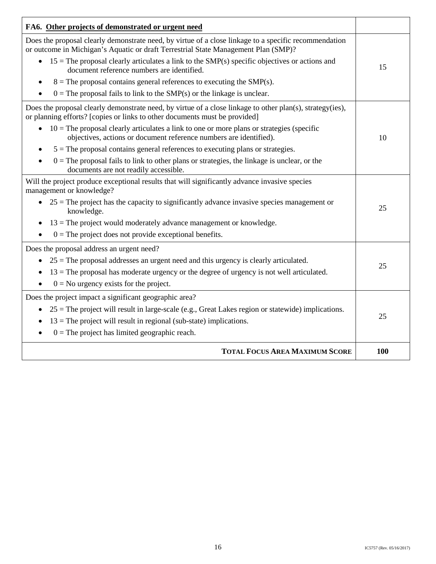| FA6. Other projects of demonstrated or urgent need                                                                                                                                          |     |
|---------------------------------------------------------------------------------------------------------------------------------------------------------------------------------------------|-----|
| Does the proposal clearly demonstrate need, by virtue of a close linkage to a specific recommendation<br>or outcome in Michigan's Aquatic or draft Terrestrial State Management Plan (SMP)? |     |
| $15$ = The proposal clearly articulates a link to the SMP(s) specific objectives or actions and<br>document reference numbers are identified.                                               | 15  |
| $8 =$ The proposal contains general references to executing the SMP(s).                                                                                                                     |     |
| $0 =$ The proposal fails to link to the SMP(s) or the linkage is unclear.                                                                                                                   |     |
| Does the proposal clearly demonstrate need, by virtue of a close linkage to other plan(s), strategy(ies),<br>or planning efforts? [copies or links to other documents must be provided]     |     |
| $10 =$ The proposal clearly articulates a link to one or more plans or strategies (specific<br>$\bullet$<br>objectives, actions or document reference numbers are identified).              | 10  |
| $5 =$ The proposal contains general references to executing plans or strategies.                                                                                                            |     |
| $0 =$ The proposal fails to link to other plans or strategies, the linkage is unclear, or the<br>documents are not readily accessible.                                                      |     |
| Will the project produce exceptional results that will significantly advance invasive species<br>management or knowledge?                                                                   |     |
| $\bullet$ 25 = The project has the capacity to significantly advance invasive species management or<br>knowledge.                                                                           | 25  |
| $13$ = The project would moderately advance management or knowledge.                                                                                                                        |     |
| $0 =$ The project does not provide exceptional benefits.                                                                                                                                    |     |
| Does the proposal address an urgent need?                                                                                                                                                   |     |
| $25$ = The proposal addresses an urgent need and this urgency is clearly articulated.                                                                                                       | 25  |
| $13$ = The proposal has moderate urgency or the degree of urgency is not well articulated.<br>$\bullet$                                                                                     |     |
| $0 = No$ urgency exists for the project.<br>$\bullet$                                                                                                                                       |     |
| Does the project impact a significant geographic area?                                                                                                                                      |     |
| $25$ = The project will result in large-scale (e.g., Great Lakes region or statewide) implications.                                                                                         |     |
| $13$ = The project will result in regional (sub-state) implications.                                                                                                                        | 25  |
| $0 =$ The project has limited geographic reach.                                                                                                                                             |     |
| <b>TOTAL FOCUS AREA MAXIMUM SCORE</b>                                                                                                                                                       | 100 |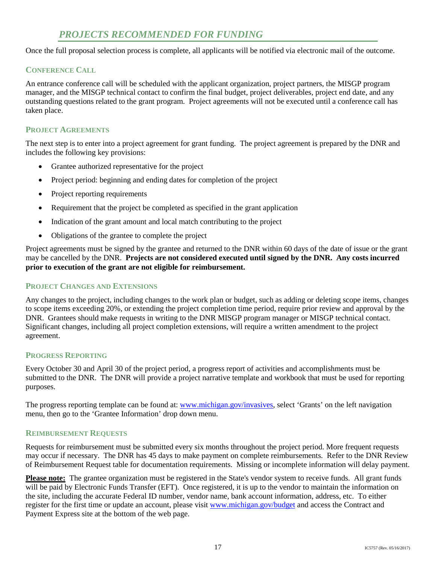# *PROJECTS RECOMMENDED FOR FUNDING*

<span id="page-19-0"></span>Once the full proposal selection process is complete, all applicants will be notified via electronic mail of the outcome.

## **CONFERENCE CALL**

 outstanding questions related to the grant program. Project agreements will not be executed until a conference call has An entrance conference call will be scheduled with the applicant organization, project partners, the MISGP program manager, and the MISGP technical contact to confirm the final budget, project deliverables, project end date, and any taken place.

## **PROJECT AGREEMENTS**

 includes the following key provisions: The next step is to enter into a project agreement for grant funding. The project agreement is prepared by the DNR and

- Grantee authorized representative for the project
- Project period: beginning and ending dates for completion of the project
- Project reporting requirements
- Requirement that the project be completed as specified in the grant application
- Indication of the grant amount and local match contributing to the project
- Obligations of the grantee to complete the project

 Project agreements must be signed by the grantee and returned to the DNR within 60 days of the date of issue or the grant may be cancelled by the DNR. **Projects are not considered executed until signed by the DNR. Any costs incurred prior to execution of the grant are not eligible for reimbursement.** 

## **PROJECT CHANGES AND EXTENSIONS**

 DNR. Grantees should make requests in writing to the DNR MISGP program manager or MISGP technical contact. Any changes to the project, including changes to the work plan or budget, such as adding or deleting scope items, changes to scope items exceeding 20%, or extending the project completion time period, require prior review and approval by the Significant changes, including all project completion extensions, will require a written amendment to the project agreement.

## **PROGRESS REPORTING**

 Every October 30 and April 30 of the project period, a progress report of activities and accomplishments must be submitted to the DNR. The DNR will provide a project narrative template and workbook that must be used for reporting purposes.

The progress reporting template can be found at: **www.michigan.gov/invasives**, select 'Grants' on the left navigation menu, then go to the 'Grantee Information' drop down menu.

## **REIMBURSEMENT REQUESTS**

 Requests for reimbursement must be submitted every six months throughout the project period. More frequent requests may occur if necessary. The DNR has 45 days to make payment on complete reimbursements. Refer to the DNR Review of Reimbursement Request table for documentation requirements. Missing or incomplete information will delay payment.

 **Please note:** The grantee organization must be registered in the State's vendor system to receive funds. All grant funds register for the first time or update an account, please visit www.michigan.gov/budget and access the Contract and will be paid by Electronic Funds Transfer (EFT). Once registered, it is up to the vendor to maintain the information on the site, including the accurate Federal ID number, vendor name, bank account information, address, etc. To either Payment Express site at the bottom of the web page.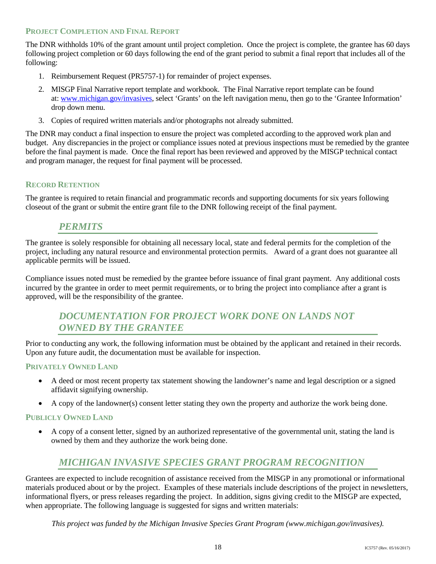## **PROJECT COMPLETION AND FINAL REPORT**

 following project completion or 60 days following the end of the grant period to submit a final report that includes all of the The DNR withholds 10% of the grant amount until project completion. Once the project is complete, the grantee has 60 days following:

- 1. Reimbursement Request (PR5757-1) for remainder of project expenses.
- 2. MISGP Final Narrative report template and workbook. The Final Narrative report template can be found at: www.michigan.gov/invasives, select 'Grants' on the left navigation menu, then go to the 'Grantee Information' drop down menu.
- 3. Copies of required written materials and/or photographs not already submitted.

 budget. Any discrepancies in the project or compliance issues noted at previous inspections must be remedied by the grantee before the final payment is made. Once the final report has been reviewed and approved by the MISGP technical contact The DNR may conduct a final inspection to ensure the project was completed according to the approved work plan and and program manager, the request for final payment will be processed.

## **RECORD RETENTION**

The grantee is required to retain financial and programmatic records and supporting documents for six years following closeout of the grant or submit the entire grant file to the DNR following receipt of the final payment.

## *PERMITS*

<span id="page-20-0"></span>The grantee is solely responsible for obtaining all necessary local, state and federal permits for the completion of the project, including any natural resource and environmental protection permits. Award of a grant does not guarantee all applicable permits will be issued.

 Compliance issues noted must be remedied by the grantee before issuance of final grant payment. Any additional costs approved, will be the responsibility of the grantee. incurred by the grantee in order to meet permit requirements, or to bring the project into compliance after a grant is

## *DOCUMENTATION FOR PROJECT WORK DONE ON LANDS NOT OWNED BY THE GRANTEE*

<span id="page-20-1"></span> Prior to conducting any work, the following information must be obtained by the applicant and retained in their records. Upon any future audit, the documentation must be available for inspection.

## **PRIVATELY OWNED LAND**

- A deed or most recent property tax statement showing the landowner's name and legal description or a signed affidavit signifying ownership.
- A copy of the landowner(s) consent letter stating they own the property and authorize the work being done.

## **PUBLICLY OWNED LAND**

A copy of a consent letter, signed by an authorized representative of the governmental unit, stating the land is owned by them and they authorize the work being done.

## *MICHIGAN INVASIVE SPECIES GRANT PROGRAM RECOGNITION*

<span id="page-20-2"></span> Grantees are expected to include recognition of assistance received from the MISGP in any promotional or informational materials produced about or by the project. Examples of these materials include descriptions of the project in newsletters, informational flyers, or press releases regarding the project. In addition, signs giving credit to the MISGP are expected, when appropriate. The following language is suggested for signs and written materials:

*This project was funded by the Michigan Invasive Species Grant Program (www.michigan.gov/invasives).*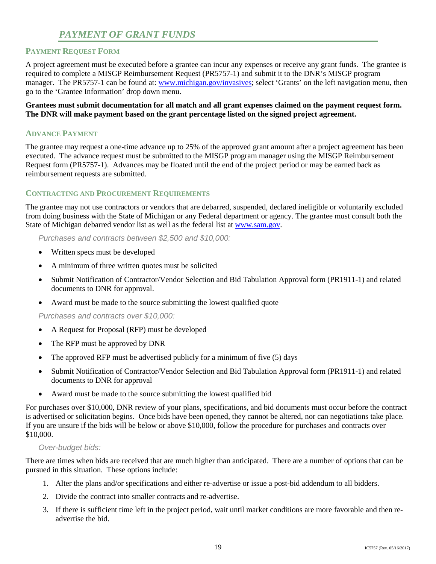# *PAYMENT OF GRANT FUNDS*

## <span id="page-21-0"></span>**PAYMENT REQUEST FORM**

 A project agreement must be executed before a grantee can incur any expenses or receive any grant funds. The grantee is required to complete a MISGP Reimbursement Request (PR5757-1) and submit it to the DNR's MISGP program manager. The PR5757-1 can be found at: www.michigan.gov/invasives; select 'Grants' on the left navigation menu, then go to the 'Grantee Information' drop down menu.

 **Grantees must submit documentation for all match and all grant expenses claimed on the payment request form. The DNR will make payment based on the grant percentage listed on the signed project agreement.** 

## **ADVANCE PAYMENT**

 The grantee may request a one-time advance up to 25% of the approved grant amount after a project agreement has been executed. The advance request must be submitted to the MISGP program manager using the MISGP Reimbursement reimbursement requests are submitted. Request form (PR5757-1). Advances may be floated until the end of the project period or may be earned back as

## **CONTRACTING AND PROCUREMENT REQUIREMENTS**

The grantee may not use contractors or vendors that are debarred, suspended, declared ineligible or voluntarily excluded from doing business with the State of Michigan or any Federal department or agency. The grantee must consult both the State of Michigan debarred vendor list as well as the federal list at [www.sam.gov.](http://www.sam.gov/)

*Purchases and contracts between \$2,500 and \$10,000:* 

- Written specs must be developed
- A minimum of three written quotes must be solicited
- Submit Notification of Contractor/Vendor Selection and Bid Tabulation Approval form (PR1911-1) and related documents to DNR for approval.
- Award must be made to the source submitting the lowest qualified quote

*Purchases and contracts over \$10,000:* 

- A Request for Proposal (RFP) must be developed
- The RFP must be approved by DNR
- The approved RFP must be advertised publicly for a minimum of five (5) days
- documents to DNR for approval • Submit Notification of Contractor/Vendor Selection and Bid Tabulation Approval form (PR1911-1) and related
- Award must be made to the source submitting the lowest qualified bid

 If you are unsure if the bids will be below or above \$10,000, follow the procedure for purchases and contracts over For purchases over \$10,000, DNR review of your plans, specifications, and bid documents must occur before the contract is advertised or solicitation begins. Once bids have been opened, they cannot be altered, nor can negotiations take place. \$10,000.

#### *Over-budget bids:*

 There are times when bids are received that are much higher than anticipated. There are a number of options that can be pursued in this situation. These options include:

- 1. Alter the plans and/or specifications and either re-advertise or issue a post-bid addendum to all bidders.
- 2. Divide the contract into smaller contracts and re-advertise.
- 3. If there is sufficient time left in the project period, wait until market conditions are more favorable and then readvertise the bid.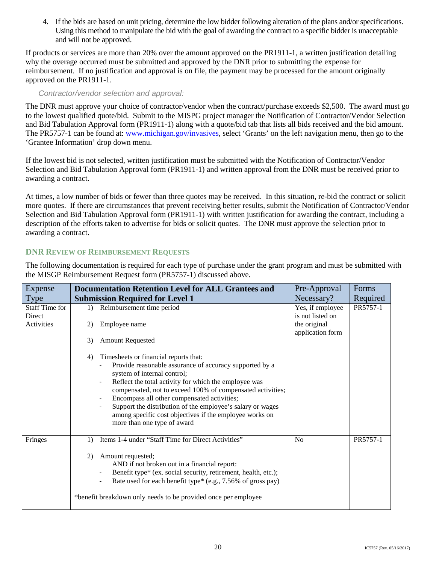Using this method to manipulate the bid with the goal of awarding the contract to a specific bidder is unacceptable 4. If the bids are based on unit pricing, determine the low bidder following alteration of the plans and/or specifications. and will not be approved.

 If products or services are more than 20% over the amount approved on the PR1911-1, a written justification detailing why the overage occurred must be submitted and approved by the DNR prior to submitting the expense for reimbursement. If no justification and approval is on file, the payment may be processed for the amount originally approved on the PR1911-1.

## *Contractor/vendor selection and approval:*

 and Bid Tabulation Approval form (PR1911-1) along with a quote/bid tab that lists all bids received and the bid amount. The PR5757-1 can be found at: **www.michigan.gov/invasives**, select 'Grants' on the left navigation menu, then go to the The DNR must approve your choice of contractor/vendor when the contract/purchase exceeds \$2,500. The award must go to the lowest qualified quote/bid. Submit to the MISPG project manager the Notification of Contractor/Vendor Selection 'Grantee Information' drop down menu.

If the lowest bid is not selected, written justification must be submitted with the Notification of Contractor/Vendor Selection and Bid Tabulation Approval form (PR1911-1) and written approval from the DNR must be received prior to awarding a contract.

 description of the efforts taken to advertise for bids or solicit quotes. The DNR must approve the selection prior to At times, a low number of bids or fewer than three quotes may be received. In this situation, re-bid the contract or solicit more quotes. If there are circumstances that prevent receiving better results, submit the Notification of Contractor/Vendor Selection and Bid Tabulation Approval form (PR1911-1) with written justification for awarding the contract, including a awarding a contract.

## **DNR REVIEW OF REIMBURSEMENT REQUESTS**

 The following documentation is required for each type of purchase under the grant program and must be submitted with the MISGP Reimbursement Request form (PR5757-1) discussed above.

| Expense                         | <b>Documentation Retention Level for ALL Grantees and</b>                                                                                                                                                                                                                                                                                                                                                                                                           | Pre-Approval                         | Forms    |
|---------------------------------|---------------------------------------------------------------------------------------------------------------------------------------------------------------------------------------------------------------------------------------------------------------------------------------------------------------------------------------------------------------------------------------------------------------------------------------------------------------------|--------------------------------------|----------|
| Type                            | <b>Submission Required for Level 1</b>                                                                                                                                                                                                                                                                                                                                                                                                                              | Necessary?                           | Required |
| <b>Staff Time for</b><br>Direct | Reimbursement time period<br>$\left( \right)$                                                                                                                                                                                                                                                                                                                                                                                                                       | Yes, if employee<br>is not listed on | PR5757-1 |
| Activities                      | Employee name<br>2)                                                                                                                                                                                                                                                                                                                                                                                                                                                 | the original<br>application form     |          |
|                                 | <b>Amount Requested</b><br>3)                                                                                                                                                                                                                                                                                                                                                                                                                                       |                                      |          |
|                                 | Timesheets or financial reports that:<br>4)<br>Provide reasonable assurance of accuracy supported by a<br>system of internal control;<br>Reflect the total activity for which the employee was<br>compensated, not to exceed 100% of compensated activities;<br>Encompass all other compensated activities;<br>Support the distribution of the employee's salary or wages<br>among specific cost objectives if the employee works on<br>more than one type of award |                                      |          |
| Fringes                         | Items 1-4 under "Staff Time for Direct Activities"<br>$\left( \right)$                                                                                                                                                                                                                                                                                                                                                                                              | No                                   | PR5757-1 |
|                                 | Amount requested;<br>2)<br>AND if not broken out in a financial report:                                                                                                                                                                                                                                                                                                                                                                                             |                                      |          |
|                                 | Benefit type* (ex. social security, retirement, health, etc.);                                                                                                                                                                                                                                                                                                                                                                                                      |                                      |          |
|                                 | Rate used for each benefit type* (e.g., 7.56% of gross pay)                                                                                                                                                                                                                                                                                                                                                                                                         |                                      |          |
|                                 | *benefit breakdown only needs to be provided once per employee                                                                                                                                                                                                                                                                                                                                                                                                      |                                      |          |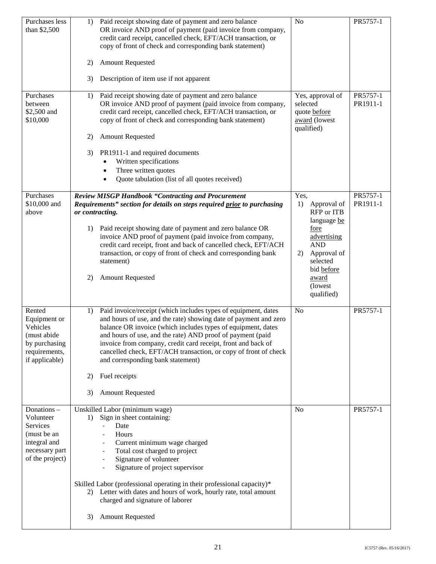| Purchases less<br>than \$2,500                                                                          | Paid receipt showing date of payment and zero balance<br>1)<br>OR invoice AND proof of payment (paid invoice from company,<br>credit card receipt, cancelled check, EFT/ACH transaction, or<br>copy of front of check and corresponding bank statement)<br><b>Amount Requested</b><br>2)<br>Description of item use if not apparent<br>3)                                                                                                                                                              | N <sub>o</sub>                                                                                                                                                                       | PR5757-1             |
|---------------------------------------------------------------------------------------------------------|--------------------------------------------------------------------------------------------------------------------------------------------------------------------------------------------------------------------------------------------------------------------------------------------------------------------------------------------------------------------------------------------------------------------------------------------------------------------------------------------------------|--------------------------------------------------------------------------------------------------------------------------------------------------------------------------------------|----------------------|
| Purchases<br>between<br>\$2,500 and<br>\$10,000                                                         | Paid receipt showing date of payment and zero balance<br>1)<br>OR invoice AND proof of payment (paid invoice from company,<br>credit card receipt, cancelled check, EFT/ACH transaction, or<br>copy of front of check and corresponding bank statement)<br><b>Amount Requested</b><br>2)<br>PR1911-1 and required documents<br>3)<br>Written specifications<br>Three written quotes<br>Quote tabulation (list of all quotes received)                                                                  | Yes, approval of<br>selected<br>quote before<br>award (lowest<br>qualified)                                                                                                          | PR5757-1<br>PR1911-1 |
| Purchases<br>\$10,000 and<br>above                                                                      | <b>Review MISGP Handbook "Contracting and Procurement</b><br>Requirements" section for details on steps required prior to purchasing<br>or contracting.<br>Paid receipt showing date of payment and zero balance OR<br>1)<br>invoice AND proof of payment (paid invoice from company,<br>credit card receipt, front and back of cancelled check, EFT/ACH<br>transaction, or copy of front of check and corresponding bank<br>statement)<br>2)<br><b>Amount Requested</b>                               | Yes,<br>Approval of<br>1)<br>RFP or ITB<br>language be<br>fore<br>advertising<br><b>AND</b><br>Approval of<br>2)<br>selected<br>bid before<br><u>award</u><br>(lowest)<br>qualified) | PR5757-1<br>PR1911-1 |
| Rented<br>Equipment or<br>Vehicles<br>(must abide<br>by purchasing<br>requirements,<br>if applicable)   | Paid invoice/receipt (which includes types of equipment, dates<br>1)<br>and hours of use, and the rate) showing date of payment and zero<br>balance OR invoice (which includes types of equipment, dates<br>and hours of use, and the rate) AND proof of payment (paid<br>invoice from company, credit card receipt, front and back of<br>cancelled check, EFT/ACH transaction, or copy of front of check<br>and corresponding bank statement)<br>Fuel receipts<br>2)<br>3)<br><b>Amount Requested</b> | N <sub>o</sub>                                                                                                                                                                       | PR5757-1             |
| Donations-<br>Volunteer<br>Services<br>(must be an<br>integral and<br>necessary part<br>of the project) | Unskilled Labor (minimum wage)<br>Sign in sheet containing:<br>1)<br>Date<br>Hours<br>Current minimum wage charged<br>Total cost charged to project<br>Signature of volunteer<br>Signature of project supervisor<br>Skilled Labor (professional operating in their professional capacity)*<br>2) Letter with dates and hours of work, hourly rate, total amount<br>charged and signature of laborer<br><b>Amount Requested</b><br>3)                                                                   | N <sub>o</sub>                                                                                                                                                                       | PR5757-1             |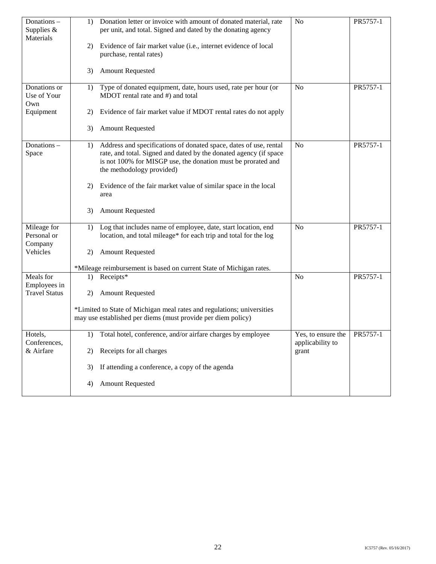| Donations-<br>Supplies $&$<br>Materials | Donation letter or invoice with amount of donated material, rate<br>1)<br>per unit, and total. Signed and dated by the donating agency                                                                                                    | No                                                | PR5757-1 |
|-----------------------------------------|-------------------------------------------------------------------------------------------------------------------------------------------------------------------------------------------------------------------------------------------|---------------------------------------------------|----------|
|                                         | Evidence of fair market value (i.e., internet evidence of local<br>2)<br>purchase, rental rates)                                                                                                                                          |                                                   |          |
|                                         | <b>Amount Requested</b><br>3)                                                                                                                                                                                                             |                                                   |          |
| Donations or<br>Use of Your<br>Own      | Type of donated equipment, date, hours used, rate per hour (or<br>1)<br>MDOT rental rate and #) and total                                                                                                                                 | N <sub>o</sub>                                    | PR5757-1 |
| Equipment                               | Evidence of fair market value if MDOT rental rates do not apply<br>2)                                                                                                                                                                     |                                                   |          |
|                                         | <b>Amount Requested</b><br>3)                                                                                                                                                                                                             |                                                   |          |
| Donations-<br>Space                     | Address and specifications of donated space, dates of use, rental<br>1)<br>rate, and total. Signed and dated by the donated agency (if space<br>is not 100% for MISGP use, the donation must be prorated and<br>the methodology provided) | No                                                | PR5757-1 |
|                                         | Evidence of the fair market value of similar space in the local<br>2)<br>area                                                                                                                                                             |                                                   |          |
|                                         | <b>Amount Requested</b><br>3)                                                                                                                                                                                                             |                                                   |          |
| Mileage for<br>Personal or<br>Company   | Log that includes name of employee, date, start location, end<br>1)<br>location, and total mileage* for each trip and total for the log                                                                                                   | N <sub>o</sub>                                    | PR5757-1 |
| Vehicles                                | <b>Amount Requested</b><br>2)                                                                                                                                                                                                             |                                                   |          |
|                                         | *Mileage reimbursement is based on current State of Michigan rates.                                                                                                                                                                       |                                                   |          |
| Meals for<br>Employees in               | Receipts*<br>1)                                                                                                                                                                                                                           | N <sub>o</sub>                                    | PR5757-1 |
| <b>Travel Status</b>                    | <b>Amount Requested</b><br>2)                                                                                                                                                                                                             |                                                   |          |
|                                         | *Limited to State of Michigan meal rates and regulations; universities<br>may use established per diems (must provide per diem policy)                                                                                                    |                                                   |          |
| Hotels,<br>Conferences,                 | Total hotel, conference, and/or airfare charges by employee<br>1)                                                                                                                                                                         | Yes, to ensure the   PR5757-1<br>applicability to |          |
| & Airfare                               | Receipts for all charges<br>2)                                                                                                                                                                                                            | grant                                             |          |
|                                         | If attending a conference, a copy of the agenda<br>3)                                                                                                                                                                                     |                                                   |          |
|                                         | <b>Amount Requested</b><br>4)                                                                                                                                                                                                             |                                                   |          |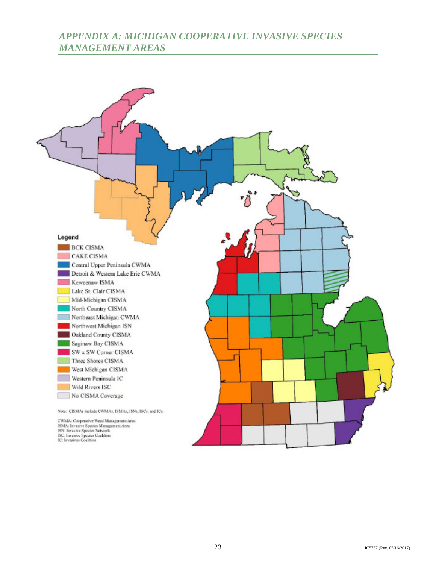# *APPENDIX A: MICHIGAN COOPERATIVE INVASIVE SPECIES MANAGEMENT AREAS*

<span id="page-25-0"></span>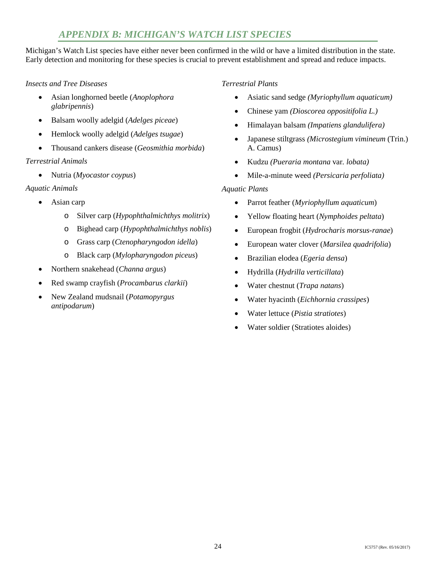# *APPENDIX B: MICHIGAN'S WATCH LIST SPECIES*

<span id="page-26-0"></span> Michigan's Watch List species have either never been confirmed in the wild or have a limited distribution in the state. Early detection and monitoring for these species is crucial to prevent establishment and spread and reduce impacts.

## *Insects and Tree Diseases*

- • Asian longhorned beetle (*Anoplophora glabripennis*)
- • Balsam woolly adelgid (*Adelges piceae*)
- • Hemlock woolly adelgid (*Adelges tsugae*)
- Thousand cankers disease (*Geosmithia morbida*)

## *Terrestrial Animals*

• Nutria (*Myocastor coypus*)

## *Aquatic Animals*

- Asian carp
	- o Silver carp (*Hypophthalmichthys molitrix*)
	- o Bighead carp (*Hypophthalmichthys noblis*)
	- o Grass carp (*Ctenopharyngodon idella*)
	- o Black carp (*Mylopharyngodon piceus*)
- • Northern snakehead (*Channa argus*)
- • Red swamp crayfish (*Procambarus clarkii*)
- • New Zealand mudsnail (*Potamopyrgus antipodarum*)

## *Terrestrial Plants*

- • Asiatic sand sedge *(Myriophyllum aquaticum)*
- • Chinese yam *(Dioscorea oppositifolia L.)*
- • Himalayan balsam *(Impatiens glandulifera)*
- • Japanese stiltgrass *(Microstegium vimineum* (Trin.) A. Camus)
- • Kudzu *(Pueraria montana* var*. lobata)*
- Mile-a-minute weed *(Persicaria perfoliata)*

## *Aquatic Plants*

- • Parrot feather (*Myriophyllum aquaticum*)
- • Yellow floating heart (*Nymphoides peltata*)
- • European frogbit (*Hydrocharis morsus-ranae*)
- • European water clover (*Marsilea quadrifolia*)
- • Brazilian elodea (*Egeria densa*)
- • Hydrilla (*Hydrilla verticillata*)
- • Water chestnut (*Trapa natans*)
- • Water hyacinth (*Eichhornia crassipes*)
- • Water lettuce (*Pistia stratiotes*)
- Water soldier (Stratiotes aloides)